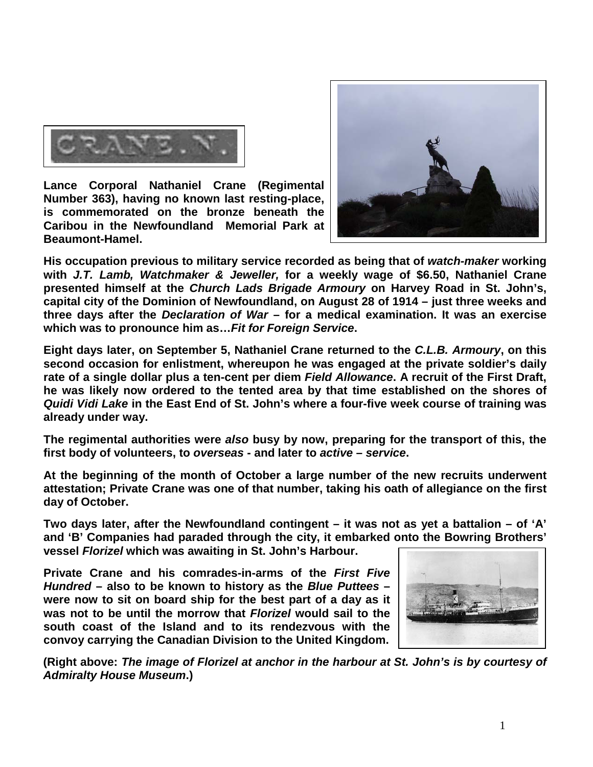

**Lance Corporal Nathaniel Crane (Regimental Number 363), having no known last resting-place, is commemorated on the bronze beneath the Caribou in the Newfoundland Memorial Park at Beaumont-Hamel.** 



**His occupation previous to military service recorded as being that of** *watch-maker* **working with** *J.T. Lamb, Watchmaker & Jeweller,* **for a weekly wage of \$6.50, Nathaniel Crane presented himself at the** *Church Lads Brigade Armoury* **on Harvey Road in St. John's, capital city of the Dominion of Newfoundland, on August 28 of 1914 – just three weeks and three days after the** *Declaration of War* **– for a medical examination. It was an exercise which was to pronounce him as…***Fit for Foreign Service***.**

**Eight days later, on September 5, Nathaniel Crane returned to the** *C.L.B. Armoury***, on this second occasion for enlistment, whereupon he was engaged at the private soldier's daily rate of a single dollar plus a ten-cent per diem** *Field Allowance***. A recruit of the First Draft, he was likely now ordered to the tented area by that time established on the shores of**  *Quidi Vidi Lake* **in the East End of St. John's where a four-five week course of training was already under way.**

**The regimental authorities were** *also* **busy by now, preparing for the transport of this, the first body of volunteers, to** *overseas* **- and later to** *active* **–** *service***.**

**At the beginning of the month of October a large number of the new recruits underwent attestation; Private Crane was one of that number, taking his oath of allegiance on the first day of October.**

**Two days later, after the Newfoundland contingent – it was not as yet a battalion – of 'A' and 'B' Companies had paraded through the city, it embarked onto the Bowring Brothers' vessel** *Florizel* **which was awaiting in St. John's Harbour.** 

**Private Crane and his comrades-in-arms of the** *First Five Hundred* **– also to be known to history as the** *Blue Puttees* **– were now to sit on board ship for the best part of a day as it was not to be until the morrow that** *Florizel* **would sail to the south coast of the Island and to its rendezvous with the convoy carrying the Canadian Division to the United Kingdom.**



**(Right above:** *The image of Florizel at anchor in the harbour at St. John's is by courtesy of Admiralty House Museum***.)**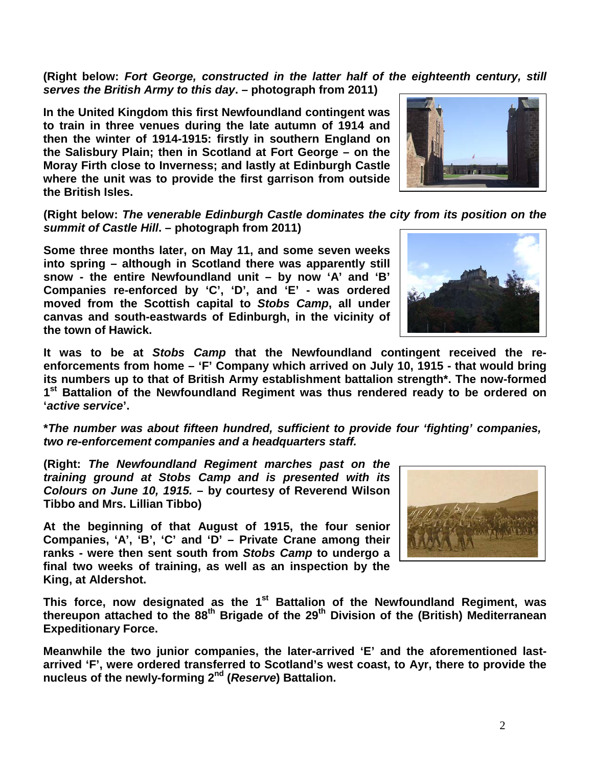**(Right below:** *Fort George, constructed in the latter half of the eighteenth century, still serves the British Army to this day***. – photograph from 2011)**

**In the United Kingdom this first Newfoundland contingent was to train in three venues during the late autumn of 1914 and then the winter of 1914-1915: firstly in southern England on the Salisbury Plain; then in Scotland at Fort George – on the Moray Firth close to Inverness; and lastly at Edinburgh Castle where the unit was to provide the first garrison from outside the British Isles.** 

**(Right below:** *The venerable Edinburgh Castle dominates the city from its position on the summit of Castle Hill***. – photograph from 2011)**

**Some three months later, on May 11, and some seven weeks into spring – although in Scotland there was apparently still snow - the entire Newfoundland unit – by now 'A' and 'B' Companies re-enforced by 'C', 'D', and 'E' - was ordered moved from the Scottish capital to** *Stobs Camp***, all under canvas and south-eastwards of Edinburgh, in the vicinity of the town of Hawick.** 



**It was to be at** *Stobs Camp* **that the Newfoundland contingent received the reenforcements from home – 'F' Company which arrived on July 10, 1915 - that would bring its numbers up to that of British Army establishment battalion strength\*. The now-formed 1st Battalion of the Newfoundland Regiment was thus rendered ready to be ordered on '***active service***'.**

**\****The number was about fifteen hundred, sufficient to provide four 'fighting' companies, two re-enforcement companies and a headquarters staff.*

**(Right:** *The Newfoundland Regiment marches past on the training ground at Stobs Camp and is presented with its Colours on June 10, 1915.* **– by courtesy of Reverend Wilson Tibbo and Mrs. Lillian Tibbo)**

**At the beginning of that August of 1915, the four senior Companies, 'A', 'B', 'C' and 'D' – Private Crane among their ranks - were then sent south from** *Stobs Camp* **to undergo a final two weeks of training, as well as an inspection by the King, at Aldershot.** 



This force, now designated as the 1<sup>st</sup> Battalion of the Newfoundland Regiment, was **thereupon attached to the 88th Brigade of the 29th Division of the (British) Mediterranean Expeditionary Force.**

**Meanwhile the two junior companies, the later-arrived 'E' and the aforementioned lastarrived 'F', were ordered transferred to Scotland's west coast, to Ayr, there to provide the nucleus of the newly-forming 2nd (***Reserve***) Battalion.**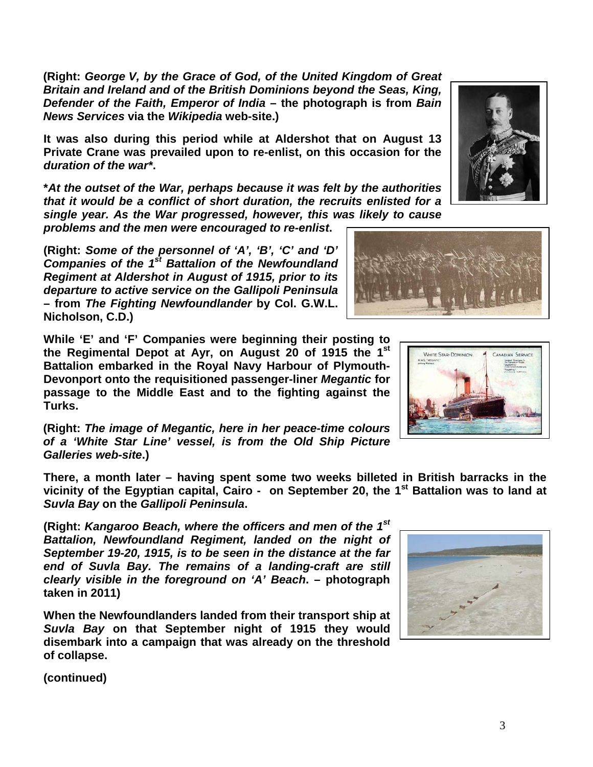**(continued)**

**(Right:** *George V, by the Grace of God, of the United Kingdom of Great Britain and Ireland and of the British Dominions beyond the Seas, King, Defender of the Faith, Emperor of India* **– the photograph is from** *Bain News Services* **via the** *Wikipedia* **web-site.)**

**It was also during this period while at Aldershot that on August 13 Private Crane was prevailed upon to re-enlist, on this occasion for the**  *duration of the war\****.**

**\****At the outset of the War, perhaps because it was felt by the authorities that it would be a conflict of short duration, the recruits enlisted for a single year. As the War progressed, however, this was likely to cause* 

*problems and the men were encouraged to re-enlist***.**

**(Right:** *Some of the personnel of 'A', 'B', 'C' and 'D' Companies of the 1st Battalion of the Newfoundland Regiment at Aldershot in August of 1915, prior to its departure to active service on the Gallipoli Peninsula*  **– from** *The Fighting Newfoundlander* **by Col. G.W.L. Nicholson, C.D.)**

**While 'E' and 'F' Companies were beginning their posting to the Regimental Depot at Ayr, on August 20 of 1915 the 1st Battalion embarked in the Royal Navy Harbour of Plymouth-Devonport onto the requisitioned passenger-liner** *Megantic* **for passage to the Middle East and to the fighting against the Turks.** 

**(Right:** *The image of Megantic, here in her peace-time colours of a 'White Star Line' vessel, is from the Old Ship Picture Galleries web-site***.)**

**There, a month later – having spent some two weeks billeted in British barracks in the vicinity of the Egyptian capital, Cairo - on September 20, the 1st Battalion was to land at**  *Suvla Bay* **on the** *Gallipoli Peninsula***.**

**(Right:** *Kangaroo Beach, where the officers and men of the 1st Battalion, Newfoundland Regiment, landed on the night of September 19-20, 1915, is to be seen in the distance at the far end of Suvla Bay. The remains of a landing-craft are still clearly visible in the foreground on 'A' Beach***. – photograph taken in 2011)**

**When the Newfoundlanders landed from their transport ship at**  *Suvla Bay* **on that September night of 1915 they would disembark into a campaign that was already on the threshold of collapse.**







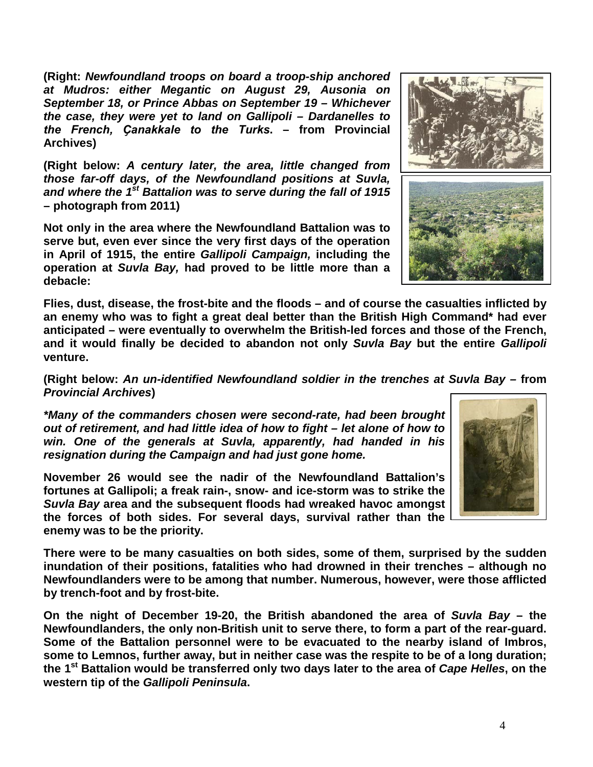**(Right:** *Newfoundland troops on board a troop-ship anchored at Mudros: either Megantic on August 29, Ausonia on September 18, or Prince Abbas on September 19 – Whichever the case, they were yet to land on Gallipoli – Dardanelles to the French, Ҫanakkale to the Turks***. – from Provincial Archives)**

**(Right below:** *A century later, the area, little changed from those far-off days, of the Newfoundland positions at Suvla, and where the 1st Battalion was to serve during the fall of 1915*  **– photograph from 2011)**

**Not only in the area where the Newfoundland Battalion was to serve but, even ever since the very first days of the operation in April of 1915, the entire** *Gallipoli Campaign,* **including the operation at** *Suvla Bay,* **had proved to be little more than a debacle:** 

**Flies, dust, disease, the frost-bite and the floods – and of course the casualties inflicted by an enemy who was to fight a great deal better than the British High Command\* had ever anticipated – were eventually to overwhelm the British-led forces and those of the French, and it would finally be decided to abandon not only** *Suvla Bay* **but the entire** *Gallipoli* **venture.**

**(Right below:** *An un-identified Newfoundland soldier in the trenches at Suvla Bay –* **from**  *Provincial Archives***)**

*\*Many of the commanders chosen were second-rate, had been brought out of retirement, and had little idea of how to fight – let alone of how to win. One of the generals at Suvla, apparently, had handed in his resignation during the Campaign and had just gone home.* 

**November 26 would see the nadir of the Newfoundland Battalion's fortunes at Gallipoli; a freak rain-, snow- and ice-storm was to strike the**  *Suvla Bay* **area and the subsequent floods had wreaked havoc amongst the forces of both sides. For several days, survival rather than the enemy was to be the priority.**

**There were to be many casualties on both sides, some of them, surprised by the sudden inundation of their positions, fatalities who had drowned in their trenches – although no Newfoundlanders were to be among that number. Numerous, however, were those afflicted by trench-foot and by frost-bite.**

**On the night of December 19-20, the British abandoned the area of** *Suvla Bay* **– the Newfoundlanders, the only non-British unit to serve there, to form a part of the rear-guard. Some of the Battalion personnel were to be evacuated to the nearby island of Imbros, some to Lemnos, further away, but in neither case was the respite to be of a long duration; the 1st Battalion would be transferred only two days later to the area of** *Cape Helles***, on the western tip of the** *Gallipoli Peninsula***.**

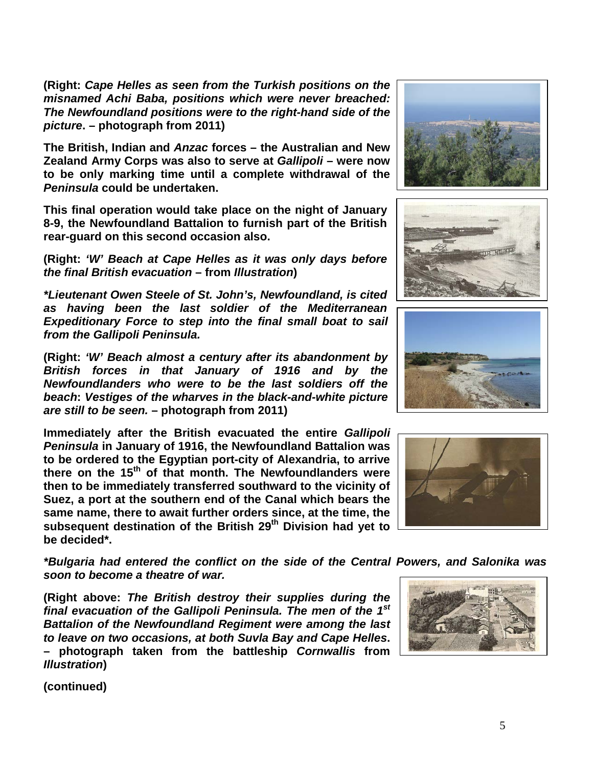**(Right:** *Cape Helles as seen from the Turkish positions on the misnamed Achi Baba, positions which were never breached: The Newfoundland positions were to the right-hand side of the picture***. – photograph from 2011)**

**The British, Indian and** *Anzac* **forces – the Australian and New Zealand Army Corps was also to serve at** *Gallipoli* **– were now to be only marking time until a complete withdrawal of the**  *Peninsula* **could be undertaken.** 

**This final operation would take place on the night of January 8-9, the Newfoundland Battalion to furnish part of the British rear-guard on this second occasion also.**

**(Right:** *'W' Beach at Cape Helles as it was only days before the final British evacuation* **– from** *Illustration***)**

*\*Lieutenant Owen Steele of St. John's, Newfoundland, is cited as having been the last soldier of the Mediterranean Expeditionary Force to step into the final small boat to sail from the Gallipoli Peninsula.*

**(Right:** *'W' Beach almost a century after its abandonment by British forces in that January of 1916 and by the Newfoundlanders who were to be the last soldiers off the beach***:** *Vestiges of the wharves in the black-and-white picture are still to be seen.* **– photograph from 2011)**

**Immediately after the British evacuated the entire** *Gallipoli Peninsula* **in January of 1916, the Newfoundland Battalion was to be ordered to the Egyptian port-city of Alexandria, to arrive there on the 15th of that month. The Newfoundlanders were then to be immediately transferred southward to the vicinity of Suez, a port at the southern end of the Canal which bears the same name, there to await further orders since, at the time, the subsequent destination of the British 29th Division had yet to be decided\*.**

*\*Bulgaria had entered the conflict on the side of the Central Powers, and Salonika was soon to become a theatre of war.*

**(Right above:** *The British destroy their supplies during the final evacuation of the Gallipoli Peninsula. The men of the 1st Battalion of the Newfoundland Regiment were among the last to leave on two occasions, at both Suvla Bay and Cape Helles***. – photograph taken from the battleship** *Cornwallis* **from**  *Illustration***)**









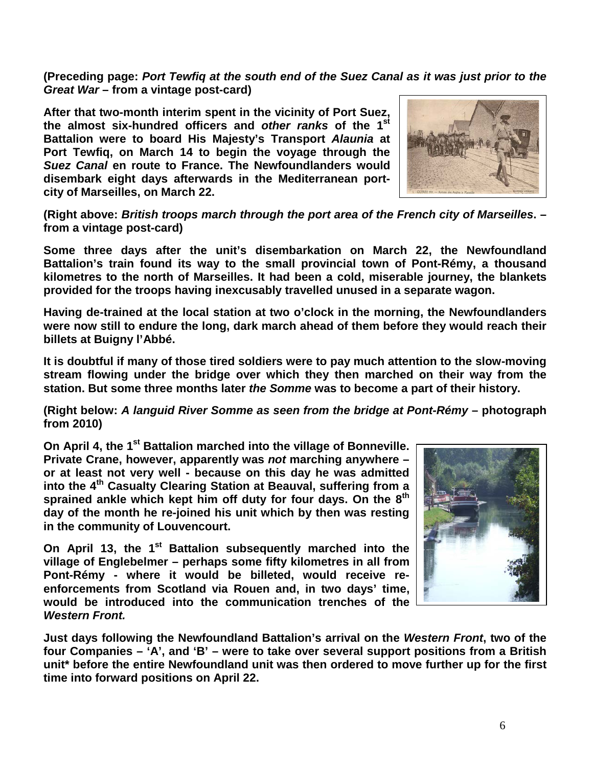**(Preceding page:** *Port Tewfiq at the south end of the Suez Canal as it was just prior to the Great War* **– from a vintage post-card)**

**After that two-month interim spent in the vicinity of Port Suez, the almost six-hundred officers and** *other ranks* **of the 1st Battalion were to board His Majesty's Transport** *Alaunia* **at Port Tewfiq, on March 14 to begin the voyage through the**  *Suez Canal* **en route to France. The Newfoundlanders would disembark eight days afterwards in the Mediterranean portcity of Marseilles, on March 22.**



**(Right above:** *British troops march through the port area of the French city of Marseilles***. – from a vintage post-card)**

**Some three days after the unit's disembarkation on March 22, the Newfoundland Battalion's train found its way to the small provincial town of Pont-Rémy, a thousand kilometres to the north of Marseilles. It had been a cold, miserable journey, the blankets provided for the troops having inexcusably travelled unused in a separate wagon.**

**Having de-trained at the local station at two o'clock in the morning, the Newfoundlanders were now still to endure the long, dark march ahead of them before they would reach their billets at Buigny l'Abbé.**

**It is doubtful if many of those tired soldiers were to pay much attention to the slow-moving stream flowing under the bridge over which they then marched on their way from the station. But some three months later** *the Somme* **was to become a part of their history.**

**(Right below:** *A languid River Somme as seen from the bridge at Pont-Rémy* **– photograph from 2010)**

**On April 4, the 1st Battalion marched into the village of Bonneville. Private Crane, however, apparently was** *not* **marching anywhere – or at least not very well - because on this day he was admitted into the 4th Casualty Clearing Station at Beauval, suffering from a sprained ankle which kept him off duty for four days. On the 8th day of the month he re-joined his unit which by then was resting in the community of Louvencourt.**

**On April 13, the 1st Battalion subsequently marched into the village of Englebelmer – perhaps some fifty kilometres in all from Pont-Rémy - where it would be billeted, would receive reenforcements from Scotland via Rouen and, in two days' time, would be introduced into the communication trenches of the**  *Western Front.*



**Just days following the Newfoundland Battalion's arrival on the** *Western Front***, two of the four Companies – 'A', and 'B' – were to take over several support positions from a British unit\* before the entire Newfoundland unit was then ordered to move further up for the first time into forward positions on April 22.**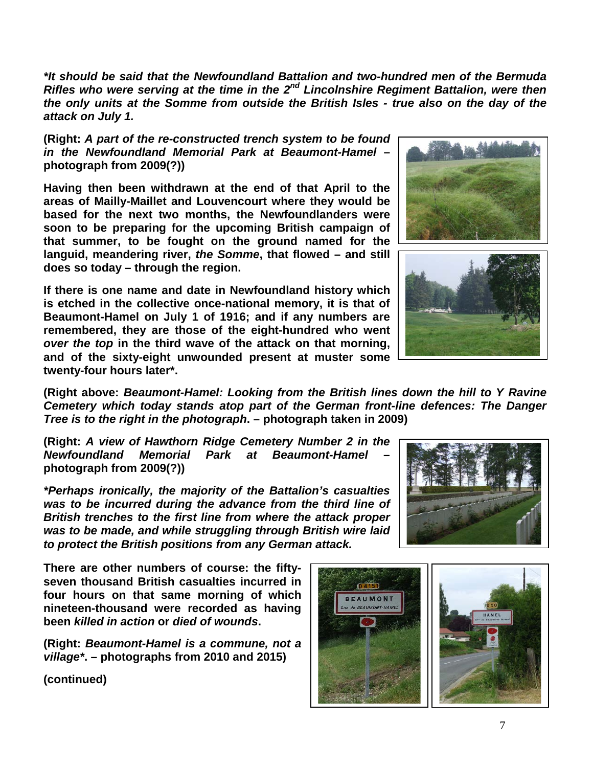*\*It should be said that the Newfoundland Battalion and two-hundred men of the Bermuda Rifles who were serving at the time in the 2nd Lincolnshire Regiment Battalion, were then the only units at the Somme from outside the British Isles - true also on the day of the attack on July 1.*

**(Right:** *A part of the re-constructed trench system to be found in the Newfoundland Memorial Park at Beaumont-Hamel* **– photograph from 2009(?))**

**Having then been withdrawn at the end of that April to the areas of Mailly-Maillet and Louvencourt where they would be based for the next two months, the Newfoundlanders were soon to be preparing for the upcoming British campaign of that summer, to be fought on the ground named for the languid, meandering river,** *the Somme***, that flowed – and still does so today – through the region.** 

**If there is one name and date in Newfoundland history which is etched in the collective once-national memory, it is that of Beaumont-Hamel on July 1 of 1916; and if any numbers are remembered, they are those of the eight-hundred who went**  *over the top* **in the third wave of the attack on that morning, and of the sixty-eight unwounded present at muster some twenty-four hours later\*.**



**(Right above:** *Beaumont-Hamel: Looking from the British lines down the hill to Y Ravine Cemetery which today stands atop part of the German front-line defences: The Danger Tree is to the right in the photograph***. – photograph taken in 2009)**

**(Right:** *A view of Hawthorn Ridge Cemetery Number 2 in the Newfoundland Memorial Park at Beaumont-Hamel* **– photograph from 2009(?))**

*\*Perhaps ironically, the majority of the Battalion's casualties was to be incurred during the advance from the third line of British trenches to the first line from where the attack proper was to be made, and while struggling through British wire laid to protect the British positions from any German attack.*

**There are other numbers of course: the fiftyseven thousand British casualties incurred in four hours on that same morning of which nineteen-thousand were recorded as having been** *killed in action* **or** *died of wounds***.** 

**(Right:** *Beaumont-Hamel is a commune, not a village\****. – photographs from 2010 and 2015)**



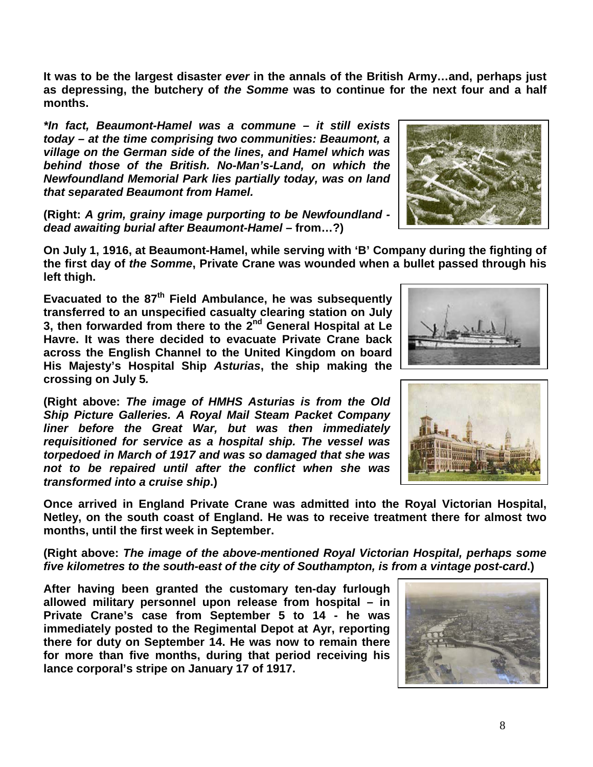8

**It was to be the largest disaster** *ever* **in the annals of the British Army…and, perhaps just as depressing, the butchery of** *the Somme* **was to continue for the next four and a half months.**

*\*In fact, Beaumont-Hamel was a commune – it still exists today – at the time comprising two communities: Beaumont, a village on the German side of the lines, and Hamel which was behind those of the British. No-Man's-Land, on which the Newfoundland Memorial Park lies partially today, was on land that separated Beaumont from Hamel.* 

**(Right:** *A grim, grainy image purporting to be Newfoundland dead awaiting burial after Beaumont-Hamel –* **from…?)**

**On July 1, 1916, at Beaumont-Hamel, while serving with 'B' Company during the fighting of the first day of** *the Somme***, Private Crane was wounded when a bullet passed through his left thigh.**

**Evacuated to the 87th Field Ambulance, he was subsequently transferred to an unspecified casualty clearing station on July 3, then forwarded from there to the 2nd General Hospital at Le Havre. It was there decided to evacuate Private Crane back across the English Channel to the United Kingdom on board His Majesty's Hospital Ship** *Asturias***, the ship making the crossing on July 5***.*

**(Right above:** *The image of HMHS Asturias is from the Old Ship Picture Galleries. A Royal Mail Steam Packet Company liner before the Great War, but was then immediately requisitioned for service as a hospital ship. The vessel was torpedoed in March of 1917 and was so damaged that she was not to be repaired until after the conflict when she was transformed into a cruise ship***.)** 

**Once arrived in England Private Crane was admitted into the Royal Victorian Hospital, Netley, on the south coast of England. He was to receive treatment there for almost two months, until the first week in September.**

**(Right above:** *The image of the above-mentioned Royal Victorian Hospital, perhaps some five kilometres to the south-east of the city of Southampton, is from a vintage post-card***.)**

**After having been granted the customary ten-day furlough allowed military personnel upon release from hospital – in Private Crane's case from September 5 to 14 - he was immediately posted to the Regimental Depot at Ayr, reporting there for duty on September 14. He was now to remain there for more than five months, during that period receiving his lance corporal's stripe on January 17 of 1917.**





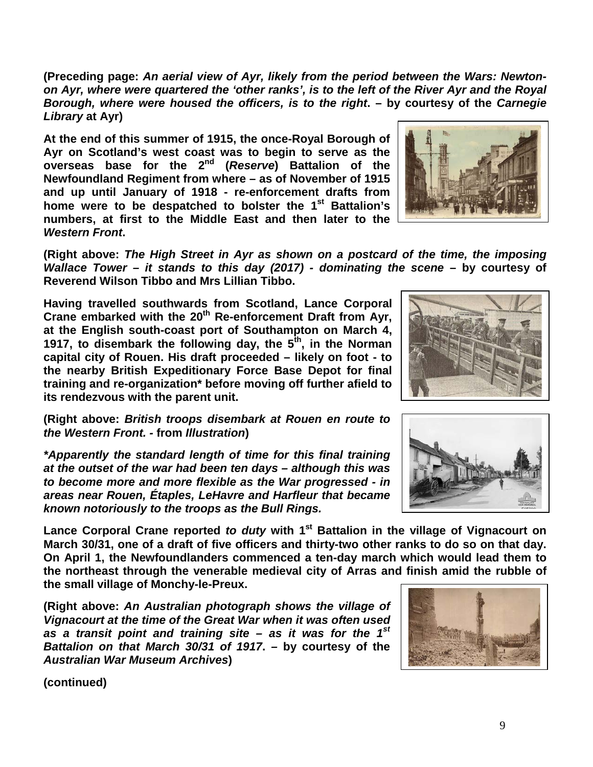**(Preceding page:** *An aerial view of Ayr, likely from the period between the Wars: Newtonon Ayr, where were quartered the 'other ranks', is to the left of the River Ayr and the Royal Borough, where were housed the officers, is to the right***. – by courtesy of the** *Carnegie Library* **at Ayr)**

**At the end of this summer of 1915, the once-Royal Borough of Ayr on Scotland's west coast was to begin to serve as the overseas base for the 2nd (***Reserve***) Battalion of the Newfoundland Regiment from where – as of November of 1915 and up until January of 1918 - re-enforcement drafts from home were to be despatched to bolster the 1st Battalion's numbers, at first to the Middle East and then later to the**  *Western Front***.**



**(Right above:** *The High Street in Ayr as shown on a postcard of the time, the imposing Wallace Tower – it stands to this day (2017) - dominating the scene* **– by courtesy of Reverend Wilson Tibbo and Mrs Lillian Tibbo.**

**Having travelled southwards from Scotland, Lance Corporal Crane embarked with the 20th Re-enforcement Draft from Ayr, at the English south-coast port of Southampton on March 4, 1917, to disembark the following day, the 5th, in the Norman capital city of Rouen. His draft proceeded – likely on foot - to the nearby British Expeditionary Force Base Depot for final training and re-organization\* before moving off further afield to its rendezvous with the parent unit.**

**(Right above:** *British troops disembark at Rouen en route to the Western Front. -* **from** *Illustration***)**

*\*Apparently the standard length of time for this final training at the outset of the war had been ten days – although this was to become more and more flexible as the War progressed - in areas near Rouen, Étaples, LeHavre and Harfleur that became known notoriously to the troops as the Bull Rings.*

Lance Corporal Crane reported *to duty* with 1<sup>st</sup> Battalion in the village of Vignacourt on **March 30/31, one of a draft of five officers and thirty-two other ranks to do so on that day. On April 1, the Newfoundlanders commenced a ten-day march which would lead them to the northeast through the venerable medieval city of Arras and finish amid the rubble of the small village of Monchy-le-Preux.**

**(Right above:** *An Australian photograph shows the village of Vignacourt at the time of the Great War when it was often used as a transit point and training site – as it was for the 1st Battalion on that March 30/31 of 1917***.** *–* **by courtesy of the** *Australian War Museum Archives***)**



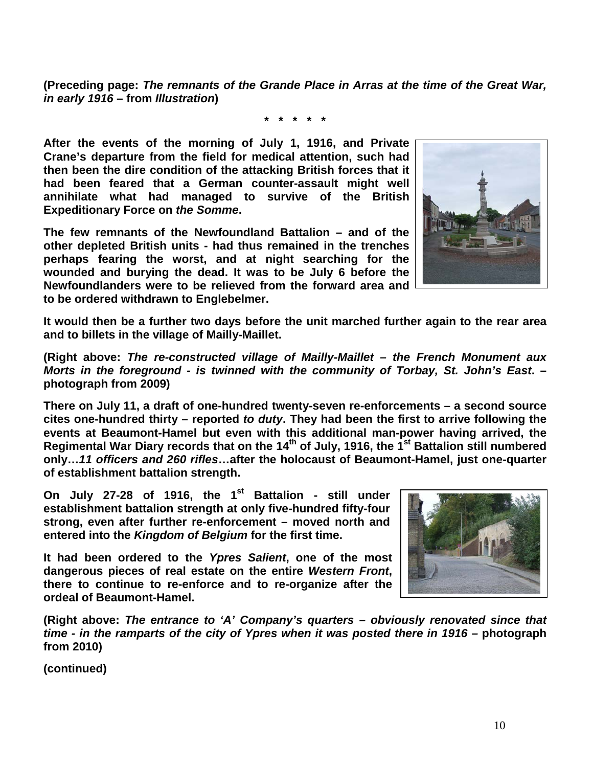**(Preceding page:** *The remnants of the Grande Place in Arras at the time of the Great War, in early 1916* **– from** *Illustration***)**

**\* \* \* \* \***

**After the events of the morning of July 1, 1916, and Private Crane's departure from the field for medical attention, such had then been the dire condition of the attacking British forces that it had been feared that a German counter-assault might well annihilate what had managed to survive of the British Expeditionary Force on** *the Somme***.** 

**The few remnants of the Newfoundland Battalion – and of the other depleted British units - had thus remained in the trenches perhaps fearing the worst, and at night searching for the wounded and burying the dead. It was to be July 6 before the Newfoundlanders were to be relieved from the forward area and to be ordered withdrawn to Englebelmer.** 



**It would then be a further two days before the unit marched further again to the rear area and to billets in the village of Mailly-Maillet.**

**(Right above:** *The re-constructed village of Mailly-Maillet – the French Monument aux Morts in the foreground - is twinned with the community of Torbay, St. John's East***. – photograph from 2009)**

**There on July 11, a draft of one-hundred twenty-seven re-enforcements – a second source cites one-hundred thirty – reported** *to duty***. They had been the first to arrive following the events at Beaumont-Hamel but even with this additional man-power having arrived, the Regimental War Diary records that on the 14th of July, 1916, the 1st Battalion still numbered only…***11 officers and 260 rifles***…after the holocaust of Beaumont-Hamel, just one-quarter of establishment battalion strength.**

On July 27-28 of 1916, the 1<sup>st</sup> Battalion - still under **establishment battalion strength at only five-hundred fifty-four strong, even after further re-enforcement – moved north and entered into the** *Kingdom of Belgium* **for the first time.** 

**It had been ordered to the** *Ypres Salient***, one of the most dangerous pieces of real estate on the entire** *Western Front***, there to continue to re-enforce and to re-organize after the ordeal of Beaumont-Hamel.** 



**(Right above:** *The entrance to 'A' Company's quarters – obviously renovated since that time - in the ramparts of the city of Ypres when it was posted there in 1916 –* **photograph from 2010)**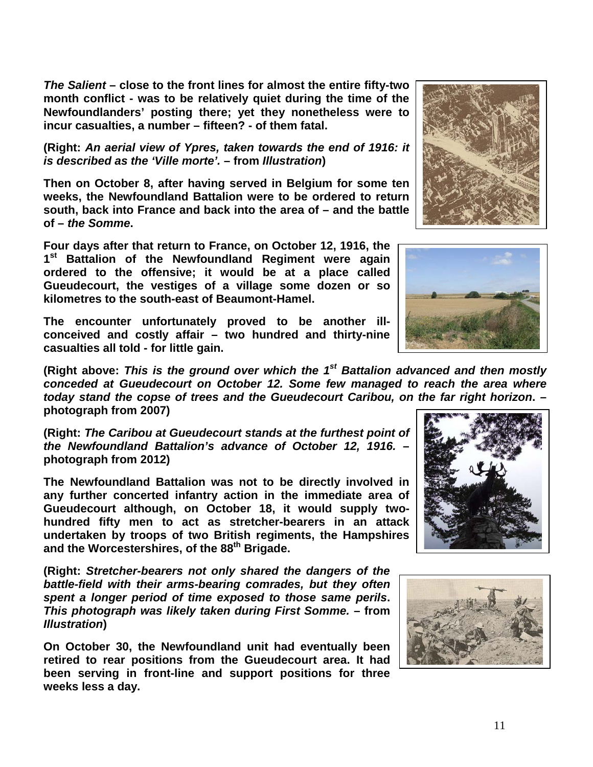*The Salient* **– close to the front lines for almost the entire fifty-two month conflict - was to be relatively quiet during the time of the Newfoundlanders' posting there; yet they nonetheless were to incur casualties, a number – fifteen? - of them fatal.**

**(Right:** *An aerial view of Ypres, taken towards the end of 1916: it is described as the 'Ville morte'.* **– from** *Illustration***)**

**Then on October 8, after having served in Belgium for some ten weeks, the Newfoundland Battalion were to be ordered to return south, back into France and back into the area of – and the battle of –** *the Somme***.**

**Four days after that return to France, on October 12, 1916, the 1st Battalion of the Newfoundland Regiment were again ordered to the offensive; it would be at a place called Gueudecourt, the vestiges of a village some dozen or so kilometres to the south-east of Beaumont-Hamel.** 

**The encounter unfortunately proved to be another illconceived and costly affair – two hundred and thirty-nine casualties all told - for little gain.** 

**(Right above:** *This is the ground over which the 1st Battalion advanced and then mostly conceded at Gueudecourt on October 12. Some few managed to reach the area where today stand the copse of trees and the Gueudecourt Caribou, on the far right horizon***. – photograph from 2007)**

**(Right:** *The Caribou at Gueudecourt stands at the furthest point of the Newfoundland Battalion's advance of October 12, 1916.* **– photograph from 2012)**

**The Newfoundland Battalion was not to be directly involved in any further concerted infantry action in the immediate area of Gueudecourt although, on October 18, it would supply twohundred fifty men to act as stretcher-bearers in an attack undertaken by troops of two British regiments, the Hampshires and the Worcestershires, of the 88th Brigade.**

**(Right:** *Stretcher-bearers not only shared the dangers of the battle-field with their arms-bearing comrades, but they often spent a longer period of time exposed to those same perils***.**  *This photograph was likely taken during First Somme.* **– from**  *Illustration***)**

**On October 30, the Newfoundland unit had eventually been retired to rear positions from the Gueudecourt area. It had been serving in front-line and support positions for three weeks less a day.**









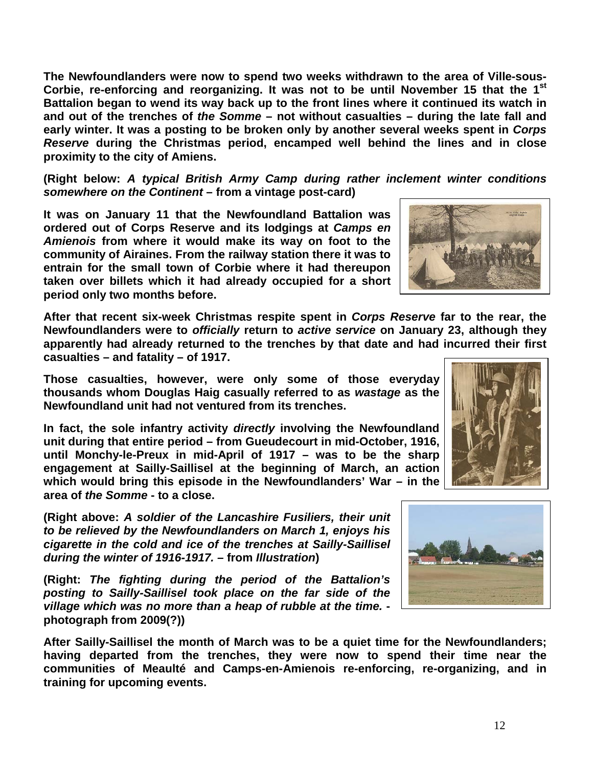12

**The Newfoundlanders were now to spend two weeks withdrawn to the area of Ville-sous-Corbie, re-enforcing and reorganizing. It was not to be until November 15 that the 1st Battalion began to wend its way back up to the front lines where it continued its watch in and out of the trenches of** *the Somme* **– not without casualties – during the late fall and early winter. It was a posting to be broken only by another several weeks spent in** *Corps Reserve* **during the Christmas period, encamped well behind the lines and in close proximity to the city of Amiens.**

**(Right below:** *A typical British Army Camp during rather inclement winter conditions somewhere on the Continent* **– from a vintage post-card)**

**It was on January 11 that the Newfoundland Battalion was ordered out of Corps Reserve and its lodgings at** *Camps en Amienois* **from where it would make its way on foot to the community of Airaines. From the railway station there it was to entrain for the small town of Corbie where it had thereupon taken over billets which it had already occupied for a short period only two months before.** 

**After that recent six-week Christmas respite spent in** *Corps Reserve* **far to the rear, the Newfoundlanders were to** *officially* **return to** *active service* **on January 23, although they apparently had already returned to the trenches by that date and had incurred their first casualties – and fatality – of 1917.** 

**Those casualties, however, were only some of those everyday thousands whom Douglas Haig casually referred to as** *wastage* **as the Newfoundland unit had not ventured from its trenches.** 

**In fact, the sole infantry activity** *directly* **involving the Newfoundland unit during that entire period – from Gueudecourt in mid-October, 1916, until Monchy-le-Preux in mid-April of 1917 – was to be the sharp engagement at Sailly-Saillisel at the beginning of March, an action which would bring this episode in the Newfoundlanders' War – in the area of** *the Somme* **- to a close.**

**(Right above:** *A soldier of the Lancashire Fusiliers, their unit to be relieved by the Newfoundlanders on March 1, enjoys his cigarette in the cold and ice of the trenches at Sailly-Saillisel during the winter of 1916-1917. –* **from** *Illustration***)**

**(Right:** *The fighting during the period of the Battalion's posting to Sailly-Saillisel took place on the far side of the village which was no more than a heap of rubble at the time.*  **photograph from 2009(?))**

**After Sailly-Saillisel the month of March was to be a quiet time for the Newfoundlanders; having departed from the trenches, they were now to spend their time near the communities of Meaulté and Camps-en-Amienois re-enforcing, re-organizing, and in training for upcoming events.** 





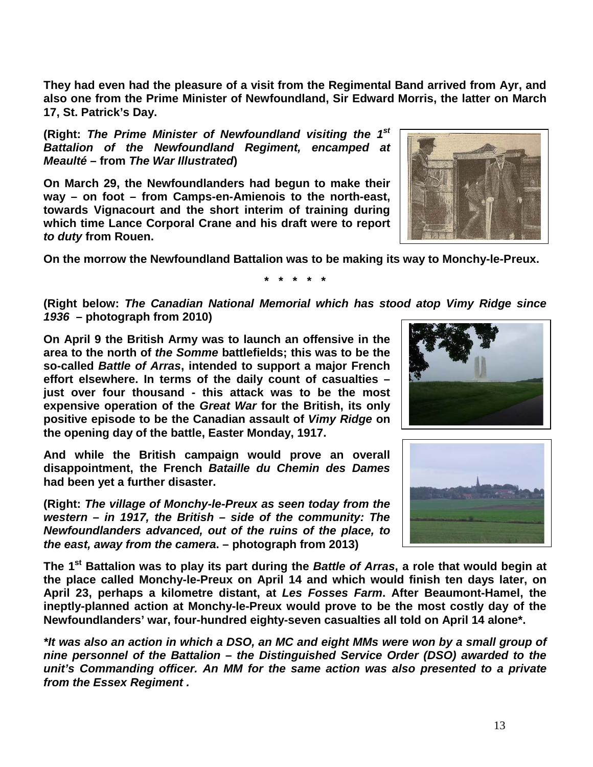**They had even had the pleasure of a visit from the Regimental Band arrived from Ayr, and also one from the Prime Minister of Newfoundland, Sir Edward Morris, the latter on March 17, St. Patrick's Day.**

**(Right:** *The Prime Minister of Newfoundland visiting the 1st Battalion of the Newfoundland Regiment, encamped at Meaulté* **– from** *The War Illustrated***)**

**On March 29, the Newfoundlanders had begun to make their way – on foot – from Camps-en-Amienois to the north-east, towards Vignacourt and the short interim of training during which time Lance Corporal Crane and his draft were to report**  *to duty* **from Rouen.**



**On the morrow the Newfoundland Battalion was to be making its way to Monchy-le-Preux.**

**\* \* \* \* \***

**(Right below:** *The Canadian National Memorial which has stood atop Vimy Ridge since 1936* **– photograph from 2010)**

**On April 9 the British Army was to launch an offensive in the area to the north of** *the Somme* **battlefields; this was to be the so-called** *Battle of Arras***, intended to support a major French effort elsewhere. In terms of the daily count of casualties – just over four thousand - this attack was to be the most expensive operation of the** *Great War* **for the British, its only positive episode to be the Canadian assault of** *Vimy Ridge* **on the opening day of the battle, Easter Monday, 1917.** 

**And while the British campaign would prove an overall disappointment, the French** *Bataille du Chemin des Dames* **had been yet a further disaster.** 

**(Right:** *The village of Monchy-le-Preux as seen today from the western – in 1917, the British – side of the community: The Newfoundlanders advanced, out of the ruins of the place, to the east, away from the camera***. – photograph from 2013)**





**The 1st Battalion was to play its part during the** *Battle of Arras***, a role that would begin at the place called Monchy-le-Preux on April 14 and which would finish ten days later, on April 23, perhaps a kilometre distant, at** *Les Fosses Farm***. After Beaumont-Hamel, the ineptly-planned action at Monchy-le-Preux would prove to be the most costly day of the Newfoundlanders' war, four-hundred eighty-seven casualties all told on April 14 alone\*.**

*\*It was also an action in which a DSO, an MC and eight MMs were won by a small group of nine personnel of the Battalion – the Distinguished Service Order (DSO) awarded to the unit's Commanding officer. An MM for the same action was also presented to a private from the Essex Regiment .*